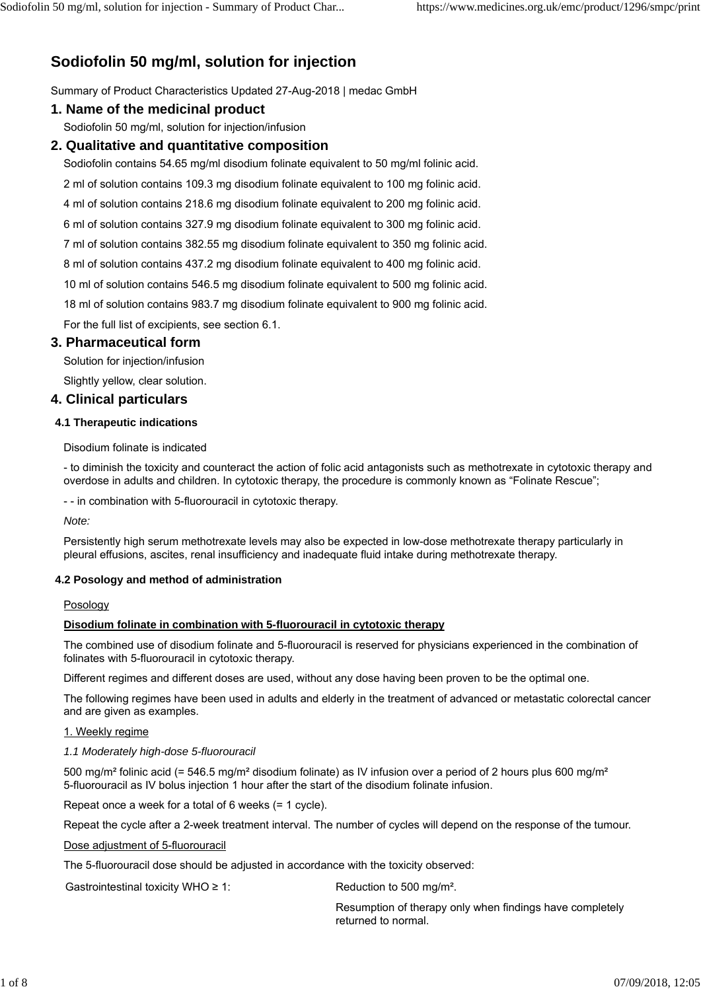# **Sodiofolin 50 mg/ml, solution for injection**

Summary of Product Characteristics Updated 27-Aug-2018 | medac GmbH

# **1. Name of the medicinal product**

Sodiofolin 50 mg/ml, solution for injection/infusion

# **2. Qualitative and quantitative composition**

Sodiofolin contains 54.65 mg/ml disodium folinate equivalent to 50 mg/ml folinic acid.

2 ml of solution contains 109.3 mg disodium folinate equivalent to 100 mg folinic acid.

4 ml of solution contains 218.6 mg disodium folinate equivalent to 200 mg folinic acid.

6 ml of solution contains 327.9 mg disodium folinate equivalent to 300 mg folinic acid.

7 ml of solution contains 382.55 mg disodium folinate equivalent to 350 mg folinic acid.

8 ml of solution contains 437.2 mg disodium folinate equivalent to 400 mg folinic acid.

10 ml of solution contains 546.5 mg disodium folinate equivalent to 500 mg folinic acid.

18 ml of solution contains 983.7 mg disodium folinate equivalent to 900 mg folinic acid.

For the full list of excipients, see section 6.1.

# **3. Pharmaceutical form**

Solution for injection/infusion

Slightly yellow, clear solution.

# **4. Clinical particulars**

## **4.1 Therapeutic indications**

Disodium folinate is indicated

- to diminish the toxicity and counteract the action of folic acid antagonists such as methotrexate in cytotoxic therapy and overdose in adults and children. In cytotoxic therapy, the procedure is commonly known as "Folinate Rescue";

- - in combination with 5-fluorouracil in cytotoxic therapy.

*Note:*

Persistently high serum methotrexate levels may also be expected in low-dose methotrexate therapy particularly in pleural effusions, ascites, renal insufficiency and inadequate fluid intake during methotrexate therapy.

## **4.2 Posology and method of administration**

## **Posology**

## **Disodium folinate in combination with 5-fluorouracil in cytotoxic therapy**

The combined use of disodium folinate and 5-fluorouracil is reserved for physicians experienced in the combination of folinates with 5-fluorouracil in cytotoxic therapy.

Different regimes and different doses are used, without any dose having been proven to be the optimal one.

The following regimes have been used in adults and elderly in the treatment of advanced or metastatic colorectal cancer and are given as examples.

## 1. Weekly regime

## *1.1 Moderately high-dose 5-fluorouracil*

500 mg/m² folinic acid (= 546.5 mg/m² disodium folinate) as IV infusion over a period of 2 hours plus 600 mg/m² 5-fluorouracil as IV bolus injection 1 hour after the start of the disodium folinate infusion.

Repeat once a week for a total of 6 weeks (= 1 cycle).

Repeat the cycle after a 2-week treatment interval. The number of cycles will depend on the response of the tumour.

#### Dose adjustment of 5-fluorouracil

The 5-fluorouracil dose should be adjusted in accordance with the toxicity observed:

Gastrointestinal toxicity WHO  $\geq 1$ : Reduction to 500 mg/m<sup>2</sup>.

Resumption of therapy only when findings have completely returned to normal.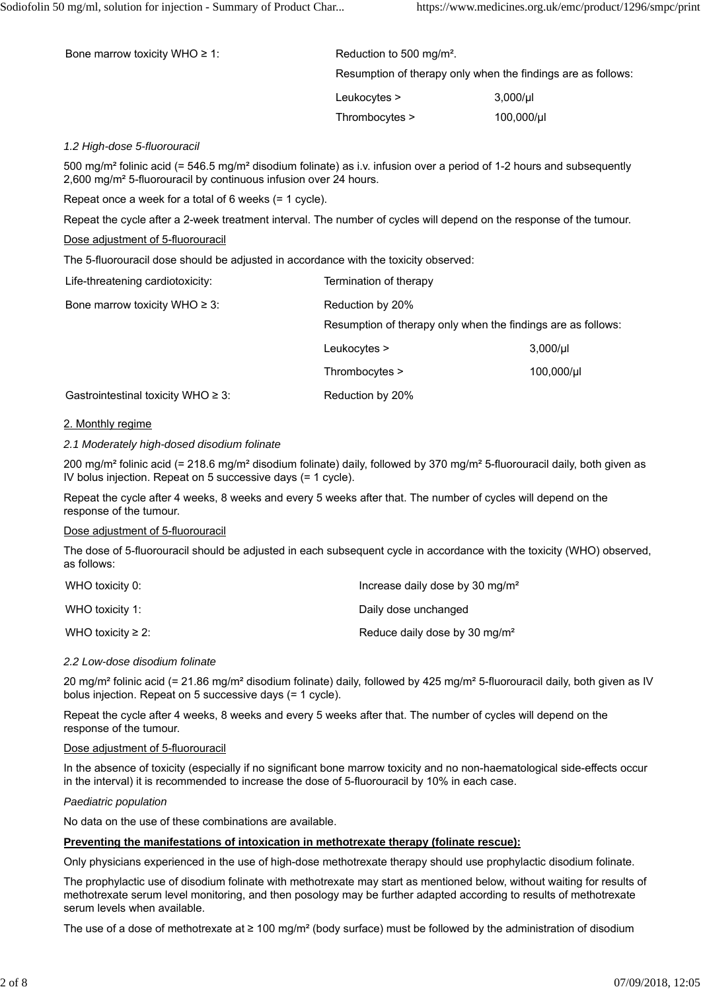| Bone marrow toxicity WHO $\geq 1$ : | Reduction to 500 mg/m <sup>2</sup> . |                                                              |
|-------------------------------------|--------------------------------------|--------------------------------------------------------------|
|                                     |                                      | Resumption of therapy only when the findings are as follows: |
|                                     | Leukocytes >                         | $3,000/\mu$                                                  |
|                                     | Thrombocytes >                       | $100,000/\mu$                                                |

#### *1.2 High-dose 5-fluorouracil*

500 mg/m² folinic acid (= 546.5 mg/m² disodium folinate) as i.v. infusion over a period of 1-2 hours and subsequently 2,600 mg/m² 5-fluorouracil by continuous infusion over 24 hours.

Repeat once a week for a total of 6 weeks (= 1 cycle).

Repeat the cycle after a 2-week treatment interval. The number of cycles will depend on the response of the tumour.

#### Dose adjustment of 5-fluorouracil

The 5-fluorouracil dose should be adjusted in accordance with the toxicity observed:

| Life-threatening cardiotoxicity:        | Termination of therapy |                                                              |
|-----------------------------------------|------------------------|--------------------------------------------------------------|
| Bone marrow toxicity WHO $\geq$ 3:      | Reduction by 20%       |                                                              |
|                                         |                        | Resumption of therapy only when the findings are as follows: |
|                                         | Leukocytes >           | $3,000/\mu$                                                  |
|                                         | Thrombocytes >         | $100,000/\mu$                                                |
| Gastrointestinal toxicity WHO $\geq$ 3: | Reduction by 20%       |                                                              |

## 2. Monthly regime

## *2.1 Moderately high-dosed disodium folinate*

200 mg/m² folinic acid (= 218.6 mg/m² disodium folinate) daily, followed by 370 mg/m² 5-fluorouracil daily, both given as IV bolus injection. Repeat on 5 successive days (= 1 cycle).

Repeat the cycle after 4 weeks, 8 weeks and every 5 weeks after that. The number of cycles will depend on the response of the tumour.

## Dose adjustment of 5-fluorouracil

The dose of 5-fluorouracil should be adjusted in each subsequent cycle in accordance with the toxicity (WHO) observed, as follows:

| WHO toxicity 0:         | Increase daily dose by 30 mg/m <sup>2</sup> |
|-------------------------|---------------------------------------------|
| WHO toxicity 1:         | Daily dose unchanged                        |
| WHO toxicity $\geq 2$ : | Reduce daily dose by 30 mg/m <sup>2</sup>   |

#### *2.2 Low-dose disodium folinate*

20 mg/m<sup>2</sup> folinic acid (= 21.86 mg/m<sup>2</sup> disodium folinate) daily, followed by 425 mg/m<sup>2</sup> 5-fluorouracil daily, both given as IV bolus injection. Repeat on 5 successive days (= 1 cycle).

Repeat the cycle after 4 weeks, 8 weeks and every 5 weeks after that. The number of cycles will depend on the response of the tumour.

#### Dose adjustment of 5-fluorouracil

In the absence of toxicity (especially if no significant bone marrow toxicity and no non-haematological side-effects occur in the interval) it is recommended to increase the dose of 5-fluorouracil by 10% in each case.

#### *Paediatric population*

No data on the use of these combinations are available.

#### **Preventing the manifestations of intoxication in methotrexate therapy (folinate rescue):**

Only physicians experienced in the use of high-dose methotrexate therapy should use prophylactic disodium folinate.

The prophylactic use of disodium folinate with methotrexate may start as mentioned below, without waiting for results of methotrexate serum level monitoring, and then posology may be further adapted according to results of methotrexate serum levels when available.

The use of a dose of methotrexate at  $\geq 100$  mg/m<sup>2</sup> (body surface) must be followed by the administration of disodium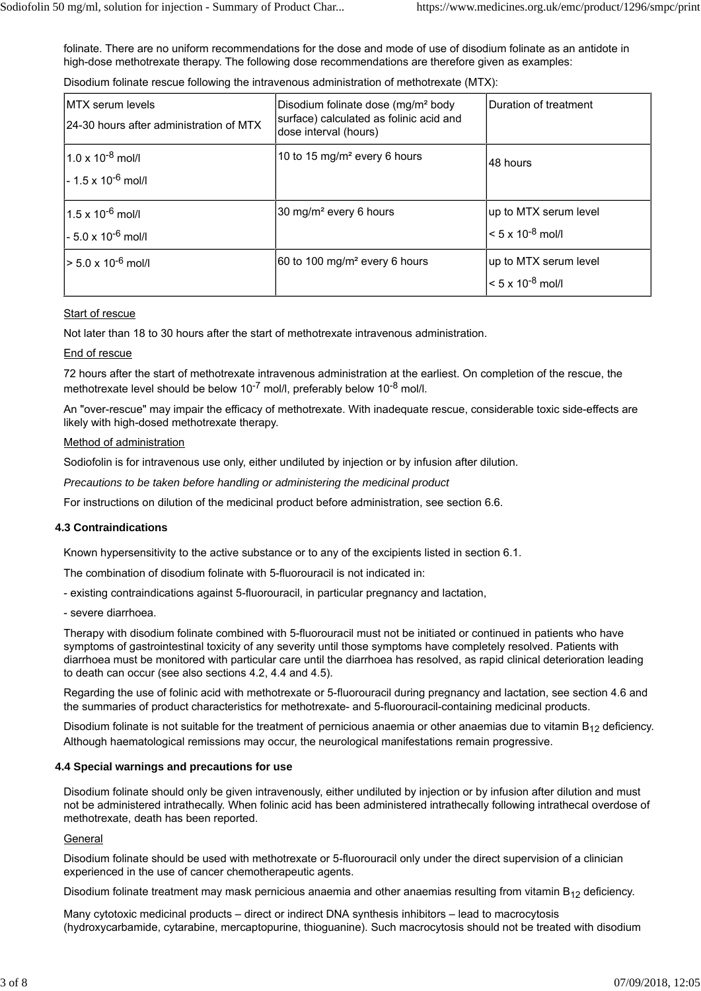folinate. There are no uniform recommendations for the dose and mode of use of disodium folinate as an antidote in high-dose methotrexate therapy. The following dose recommendations are therefore given as examples:

Disodium folinate rescue following the intravenous administration of methotrexate (MTX):

| <b>IMTX</b> serum levels<br>24-30 hours after administration of MTX | Disodium folinate dose (mg/m <sup>2</sup> body<br>surface) calculated as folinic acid and<br>dose interval (hours) | Duration of treatment                               |
|---------------------------------------------------------------------|--------------------------------------------------------------------------------------------------------------------|-----------------------------------------------------|
| $1.0 \times 10^{-8}$ mol/l<br>$-1.5 \times 10^{-6}$ mol/l           | 10 to 15 mg/m <sup>2</sup> every 6 hours                                                                           | l48 hours                                           |
| $1.5 \times 10^{-6}$ mol/l<br>- 5.0 x 10 <sup>-6</sup> mol/l        | 30 mg/m <sup>2</sup> every 6 hours                                                                                 | up to MTX serum level<br>$< 5 \times 10^{-8}$ mol/l |
| > 5.0 x 10 <sup>-6</sup> mol/l                                      | 60 to 100 mg/m <sup>2</sup> every 6 hours                                                                          | up to MTX serum level<br>$< 5 \times 10^{-8}$ mol/l |

## Start of rescue

Not later than 18 to 30 hours after the start of methotrexate intravenous administration.

## End of rescue

72 hours after the start of methotrexate intravenous administration at the earliest. On completion of the rescue, the methotrexate level should be below 10<sup>-7</sup> mol/l, preferably below 10<sup>-8</sup> mol/l.

An "over-rescue" may impair the efficacy of methotrexate. With inadequate rescue, considerable toxic side-effects are likely with high-dosed methotrexate therapy.

#### Method of administration

Sodiofolin is for intravenous use only, either undiluted by injection or by infusion after dilution.

*Precautions to be taken before handling or administering the medicinal product*

For instructions on dilution of the medicinal product before administration, see section 6.6.

## **4.3 Contraindications**

Known hypersensitivity to the active substance or to any of the excipients listed in section 6.1.

The combination of disodium folinate with 5-fluorouracil is not indicated in:

- existing contraindications against 5-fluorouracil, in particular pregnancy and lactation,

- severe diarrhoea.

Therapy with disodium folinate combined with 5-fluorouracil must not be initiated or continued in patients who have symptoms of gastrointestinal toxicity of any severity until those symptoms have completely resolved. Patients with diarrhoea must be monitored with particular care until the diarrhoea has resolved, as rapid clinical deterioration leading to death can occur (see also sections 4.2, 4.4 and 4.5).

Regarding the use of folinic acid with methotrexate or 5-fluorouracil during pregnancy and lactation, see section 4.6 and the summaries of product characteristics for methotrexate- and 5-fluorouracil-containing medicinal products.

Disodium folinate is not suitable for the treatment of pernicious anaemia or other anaemias due to vitamin  $B_{12}$  deficiency. Although haematological remissions may occur, the neurological manifestations remain progressive.

#### **4.4 Special warnings and precautions for use**

Disodium folinate should only be given intravenously, either undiluted by injection or by infusion after dilution and must not be administered intrathecally. When folinic acid has been administered intrathecally following intrathecal overdose of methotrexate, death has been reported.

#### **General**

Disodium folinate should be used with methotrexate or 5-fluorouracil only under the direct supervision of a clinician experienced in the use of cancer chemotherapeutic agents.

Disodium folinate treatment may mask pernicious anaemia and other anaemias resulting from vitamin  $B_{12}$  deficiency.

Many cytotoxic medicinal products – direct or indirect DNA synthesis inhibitors – lead to macrocytosis (hydroxycarbamide, cytarabine, mercaptopurine, thioguanine). Such macrocytosis should not be treated with disodium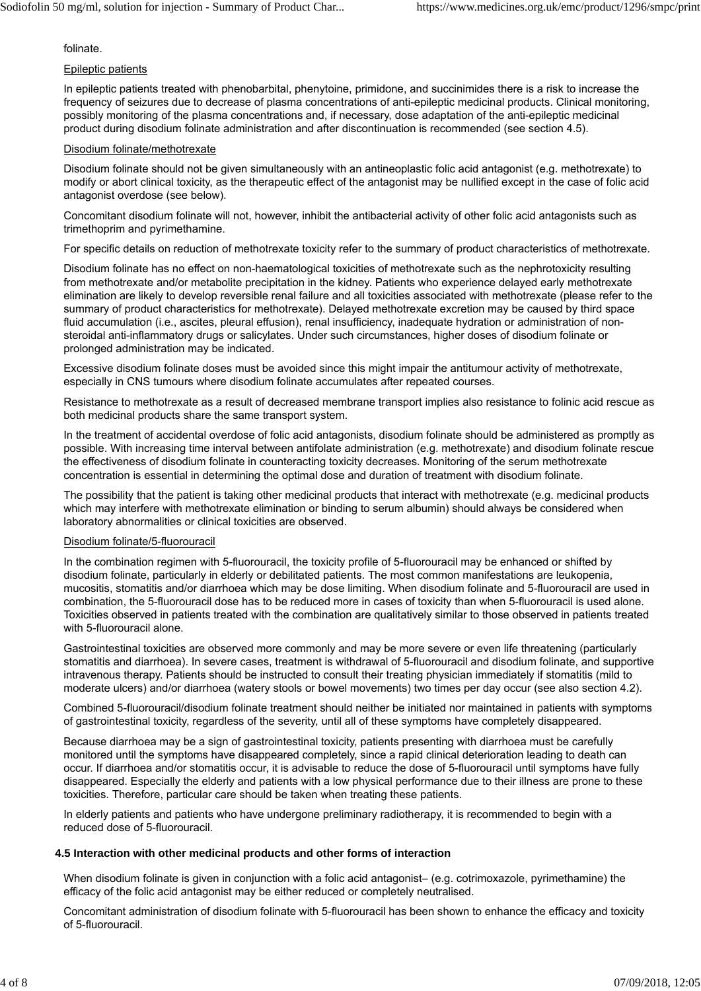folinate.

## Epileptic patients

In epileptic patients treated with phenobarbital, phenytoine, primidone, and succinimides there is a risk to increase the frequency of seizures due to decrease of plasma concentrations of anti-epileptic medicinal products. Clinical monitoring, possibly monitoring of the plasma concentrations and, if necessary, dose adaptation of the anti-epileptic medicinal product during disodium folinate administration and after discontinuation is recommended (see section 4.5).

## Disodium folinate/methotrexate

Disodium folinate should not be given simultaneously with an antineoplastic folic acid antagonist (e.g. methotrexate) to modify or abort clinical toxicity, as the therapeutic effect of the antagonist may be nullified except in the case of folic acid antagonist overdose (see below).

Concomitant disodium folinate will not, however, inhibit the antibacterial activity of other folic acid antagonists such as trimethoprim and pyrimethamine.

For specific details on reduction of methotrexate toxicity refer to the summary of product characteristics of methotrexate.

Disodium folinate has no effect on non-haematological toxicities of methotrexate such as the nephrotoxicity resulting from methotrexate and/or metabolite precipitation in the kidney. Patients who experience delayed early methotrexate elimination are likely to develop reversible renal failure and all toxicities associated with methotrexate (please refer to the summary of product characteristics for methotrexate). Delayed methotrexate excretion may be caused by third space fluid accumulation (i.e., ascites, pleural effusion), renal insufficiency, inadequate hydration or administration of nonsteroidal anti-inflammatory drugs or salicylates. Under such circumstances, higher doses of disodium folinate or prolonged administration may be indicated.

Excessive disodium folinate doses must be avoided since this might impair the antitumour activity of methotrexate, especially in CNS tumours where disodium folinate accumulates after repeated courses.

Resistance to methotrexate as a result of decreased membrane transport implies also resistance to folinic acid rescue as both medicinal products share the same transport system.

In the treatment of accidental overdose of folic acid antagonists, disodium folinate should be administered as promptly as possible. With increasing time interval between antifolate administration (e.g. methotrexate) and disodium folinate rescue the effectiveness of disodium folinate in counteracting toxicity decreases. Monitoring of the serum methotrexate concentration is essential in determining the optimal dose and duration of treatment with disodium folinate.

The possibility that the patient is taking other medicinal products that interact with methotrexate (e.g. medicinal products which may interfere with methotrexate elimination or binding to serum albumin) should always be considered when laboratory abnormalities or clinical toxicities are observed.

## Disodium folinate/5-fluorouracil

In the combination regimen with 5-fluorouracil, the toxicity profile of 5-fluorouracil may be enhanced or shifted by disodium folinate, particularly in elderly or debilitated patients. The most common manifestations are leukopenia, mucositis, stomatitis and/or diarrhoea which may be dose limiting. When disodium folinate and 5-fluorouracil are used in combination, the 5-fluorouracil dose has to be reduced more in cases of toxicity than when 5-fluorouracil is used alone. Toxicities observed in patients treated with the combination are qualitatively similar to those observed in patients treated with 5-fluorouracil alone.

Gastrointestinal toxicities are observed more commonly and may be more severe or even life threatening (particularly stomatitis and diarrhoea). In severe cases, treatment is withdrawal of 5-fluorouracil and disodium folinate, and supportive intravenous therapy. Patients should be instructed to consult their treating physician immediately if stomatitis (mild to moderate ulcers) and/or diarrhoea (watery stools or bowel movements) two times per day occur (see also section 4.2).

Combined 5-fluorouracil/disodium folinate treatment should neither be initiated nor maintained in patients with symptoms of gastrointestinal toxicity, regardless of the severity, until all of these symptoms have completely disappeared.

Because diarrhoea may be a sign of gastrointestinal toxicity, patients presenting with diarrhoea must be carefully monitored until the symptoms have disappeared completely, since a rapid clinical deterioration leading to death can occur. If diarrhoea and/or stomatitis occur, it is advisable to reduce the dose of 5-fluorouracil until symptoms have fully disappeared. Especially the elderly and patients with a low physical performance due to their illness are prone to these toxicities. Therefore, particular care should be taken when treating these patients.

In elderly patients and patients who have undergone preliminary radiotherapy, it is recommended to begin with a reduced dose of 5-fluorouracil.

#### **4.5 Interaction with other medicinal products and other forms of interaction**

When disodium folinate is given in conjunction with a folic acid antagonist– (e.g. cotrimoxazole, pyrimethamine) the efficacy of the folic acid antagonist may be either reduced or completely neutralised.

Concomitant administration of disodium folinate with 5-fluorouracil has been shown to enhance the efficacy and toxicity of 5-fluorouracil.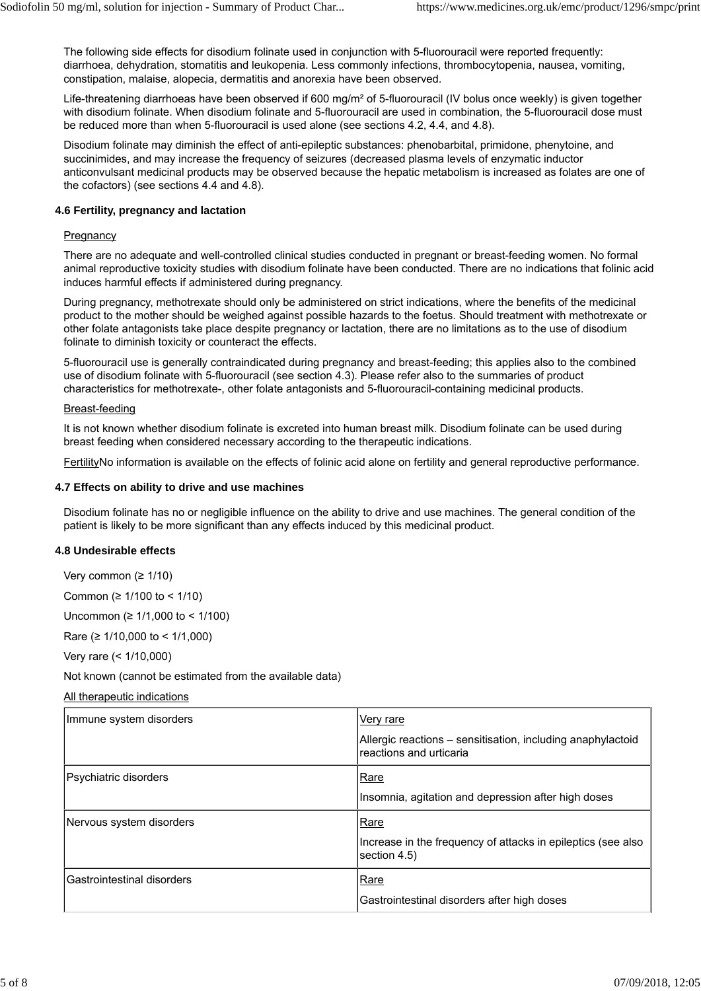The following side effects for disodium folinate used in conjunction with 5-fluorouracil were reported frequently: diarrhoea, dehydration, stomatitis and leukopenia. Less commonly infections, thrombocytopenia, nausea, vomiting, constipation, malaise, alopecia, dermatitis and anorexia have been observed.

Life-threatening diarrhoeas have been observed if 600 mg/m<sup>2</sup> of 5-fluorouracil (IV bolus once weekly) is given together with disodium folinate. When disodium folinate and 5-fluorouracil are used in combination, the 5-fluorouracil dose must be reduced more than when 5-fluorouracil is used alone (see sections 4.2, 4.4, and 4.8).

Disodium folinate may diminish the effect of anti-epileptic substances: phenobarbital, primidone, phenytoine, and succinimides, and may increase the frequency of seizures (decreased plasma levels of enzymatic inductor anticonvulsant medicinal products may be observed because the hepatic metabolism is increased as folates are one of the cofactors) (see sections 4.4 and 4.8).

## **4.6 Fertility, pregnancy and lactation**

## **Pregnancy**

There are no adequate and well-controlled clinical studies conducted in pregnant or breast-feeding women. No formal animal reproductive toxicity studies with disodium folinate have been conducted. There are no indications that folinic acid induces harmful effects if administered during pregnancy.

During pregnancy, methotrexate should only be administered on strict indications, where the benefits of the medicinal product to the mother should be weighed against possible hazards to the foetus. Should treatment with methotrexate or other folate antagonists take place despite pregnancy or lactation, there are no limitations as to the use of disodium folinate to diminish toxicity or counteract the effects.

5-fluorouracil use is generally contraindicated during pregnancy and breast-feeding; this applies also to the combined use of disodium folinate with 5-fluorouracil (see section 4.3). Please refer also to the summaries of product characteristics for methotrexate-, other folate antagonists and 5-fluorouracil-containing medicinal products.

#### Breast-feeding

It is not known whether disodium folinate is excreted into human breast milk. Disodium folinate can be used during breast feeding when considered necessary according to the therapeutic indications.

FertilityNo information is available on the effects of folinic acid alone on fertility and general reproductive performance.

## **4.7 Effects on ability to drive and use machines**

Disodium folinate has no or negligible influence on the ability to drive and use machines. The general condition of the patient is likely to be more significant than any effects induced by this medicinal product.

#### **4.8 Undesirable effects**

Very common (≥ 1/10)

Common (≥ 1/100 to < 1/10)

Uncommon (≥ 1/1,000 to < 1/100)

Rare (≥ 1/10,000 to < 1/1,000)

Very rare (< 1/10,000)

Not known (cannot be estimated from the available data)

All therapeutic indications

| Immune system disorders    | Very rare                                                                              |
|----------------------------|----------------------------------------------------------------------------------------|
|                            | Allergic reactions – sensitisation, including anaphylactoid<br>reactions and urticaria |
| Psychiatric disorders      | Rare                                                                                   |
|                            | Insomnia, agitation and depression after high doses                                    |
| Nervous system disorders   | Rare                                                                                   |
|                            | Increase in the frequency of attacks in epileptics (see also<br>section 4.5)           |
|                            |                                                                                        |
| Gastrointestinal disorders | Rare                                                                                   |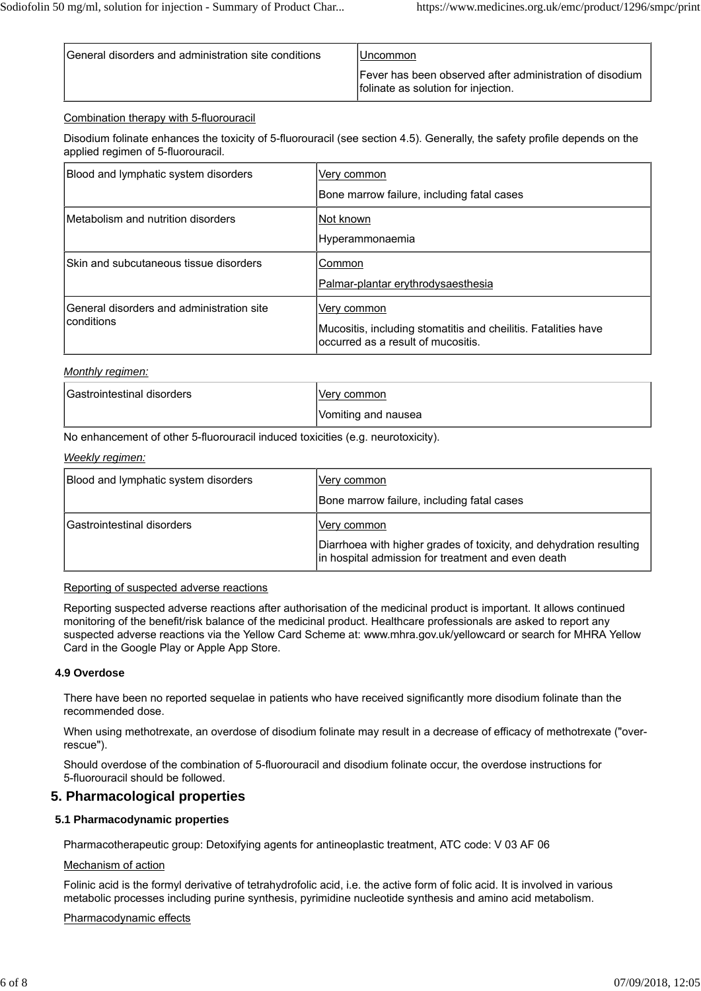| General disorders and administration site conditions | IUncommon                                                                                       |
|------------------------------------------------------|-------------------------------------------------------------------------------------------------|
|                                                      | Fever has been observed after administration of disodium<br>folinate as solution for injection. |

## Combination therapy with 5-fluorouracil

Disodium folinate enhances the toxicity of 5-fluorouracil (see section 4.5). Generally, the safety profile depends on the applied regimen of 5-fluorouracil.

| Blood and lymphatic system disorders                     | Very common<br>Bone marrow failure, including fatal cases                                                           |
|----------------------------------------------------------|---------------------------------------------------------------------------------------------------------------------|
| Metabolism and nutrition disorders                       | Not known<br>Hyperammonaemia                                                                                        |
| Skin and subcutaneous tissue disorders                   | Common<br>Palmar-plantar erythrodysaesthesia                                                                        |
| General disorders and administration site<br>lconditions | Very common<br>Mucositis, including stomatitis and cheilitis. Fatalities have<br>occurred as a result of mucositis. |

#### *Monthly regimen:*

| <b>Gastrointestinal disorders</b> | 'Verv common        |
|-----------------------------------|---------------------|
|                                   | Vomiting and nausea |

No enhancement of other 5-fluorouracil induced toxicities (e.g. neurotoxicity).

#### *Weekly regimen:*

| Blood and lymphatic system disorders | Very common<br>Bone marrow failure, including fatal cases                                                                                 |
|--------------------------------------|-------------------------------------------------------------------------------------------------------------------------------------------|
| lGastrointestinal disorders          | Very common <br>Diarrhoea with higher grades of toxicity, and dehydration resulting<br>in hospital admission for treatment and even death |

#### Reporting of suspected adverse reactions

Reporting suspected adverse reactions after authorisation of the medicinal product is important. It allows continued monitoring of the benefit/risk balance of the medicinal product. Healthcare professionals are asked to report any suspected adverse reactions via the Yellow Card Scheme at: www.mhra.gov.uk/yellowcard or search for MHRA Yellow Card in the Google Play or Apple App Store.

#### **4.9 Overdose**

There have been no reported sequelae in patients who have received significantly more disodium folinate than the recommended dose.

When using methotrexate, an overdose of disodium folinate may result in a decrease of efficacy of methotrexate ("overrescue").

Should overdose of the combination of 5-fluorouracil and disodium folinate occur, the overdose instructions for 5-fluorouracil should be followed.

## **5. Pharmacological properties**

#### **5.1 Pharmacodynamic properties**

Pharmacotherapeutic group: Detoxifying agents for antineoplastic treatment, ATC code: V 03 AF 06

#### Mechanism of action

Folinic acid is the formyl derivative of tetrahydrofolic acid, i.e. the active form of folic acid. It is involved in various metabolic processes including purine synthesis, pyrimidine nucleotide synthesis and amino acid metabolism.

#### Pharmacodynamic effects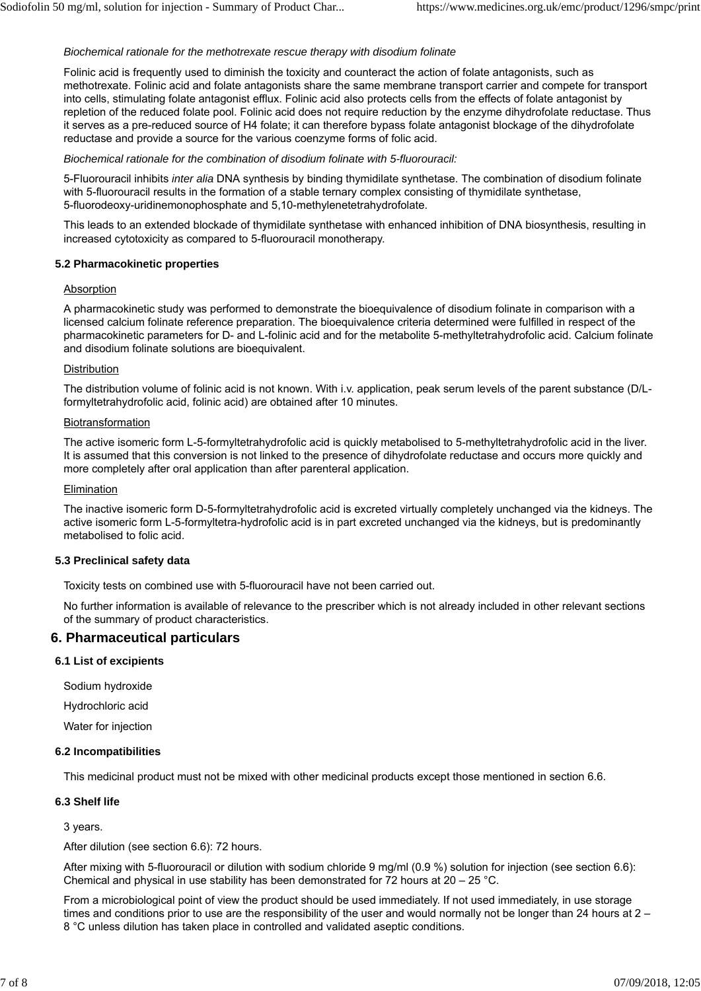#### *Biochemical rationale for the methotrexate rescue therapy with disodium folinate*

Folinic acid is frequently used to diminish the toxicity and counteract the action of folate antagonists, such as methotrexate. Folinic acid and folate antagonists share the same membrane transport carrier and compete for transport into cells, stimulating folate antagonist efflux. Folinic acid also protects cells from the effects of folate antagonist by repletion of the reduced folate pool. Folinic acid does not require reduction by the enzyme dihydrofolate reductase. Thus it serves as a pre-reduced source of H4 folate; it can therefore bypass folate antagonist blockage of the dihydrofolate reductase and provide a source for the various coenzyme forms of folic acid.

*Biochemical rationale for the combination of disodium folinate with 5-fluorouracil:*

5-Fluorouracil inhibits *inter alia* DNA synthesis by binding thymidilate synthetase. The combination of disodium folinate with 5-fluorouracil results in the formation of a stable ternary complex consisting of thymidilate synthetase, 5-fluorodeoxy-uridinemonophosphate and 5,10-methylenetetrahydrofolate.

This leads to an extended blockade of thymidilate synthetase with enhanced inhibition of DNA biosynthesis, resulting in increased cytotoxicity as compared to 5-fluorouracil monotherapy.

#### **5.2 Pharmacokinetic properties**

#### **Absorption**

A pharmacokinetic study was performed to demonstrate the bioequivalence of disodium folinate in comparison with a licensed calcium folinate reference preparation. The bioequivalence criteria determined were fulfilled in respect of the pharmacokinetic parameters for D- and L-folinic acid and for the metabolite 5-methyltetrahydrofolic acid. Calcium folinate and disodium folinate solutions are bioequivalent.

#### Distribution

The distribution volume of folinic acid is not known. With i.v. application, peak serum levels of the parent substance (D/Lformyltetrahydrofolic acid, folinic acid) are obtained after 10 minutes.

#### Biotransformation

The active isomeric form L-5-formyltetrahydrofolic acid is quickly metabolised to 5-methyltetrahydrofolic acid in the liver. It is assumed that this conversion is not linked to the presence of dihydrofolate reductase and occurs more quickly and more completely after oral application than after parenteral application.

#### Elimination

The inactive isomeric form D-5-formyltetrahydrofolic acid is excreted virtually completely unchanged via the kidneys. The active isomeric form L-5-formyltetra-hydrofolic acid is in part excreted unchanged via the kidneys, but is predominantly metabolised to folic acid.

#### **5.3 Preclinical safety data**

Toxicity tests on combined use with 5-fluorouracil have not been carried out.

No further information is available of relevance to the prescriber which is not already included in other relevant sections of the summary of product characteristics.

## **6. Pharmaceutical particulars**

## **6.1 List of excipients**

Sodium hydroxide

Hydrochloric acid

Water for injection

#### **6.2 Incompatibilities**

This medicinal product must not be mixed with other medicinal products except those mentioned in section 6.6.

#### **6.3 Shelf life**

3 years.

After dilution (see section 6.6): 72 hours.

After mixing with 5-fluorouracil or dilution with sodium chloride 9 mg/ml (0.9 %) solution for injection (see section 6.6): Chemical and physical in use stability has been demonstrated for  $72$  hours at  $20 - 25$  °C.

From a microbiological point of view the product should be used immediately. If not used immediately, in use storage times and conditions prior to use are the responsibility of the user and would normally not be longer than 24 hours at 2 -8 °C unless dilution has taken place in controlled and validated aseptic conditions.